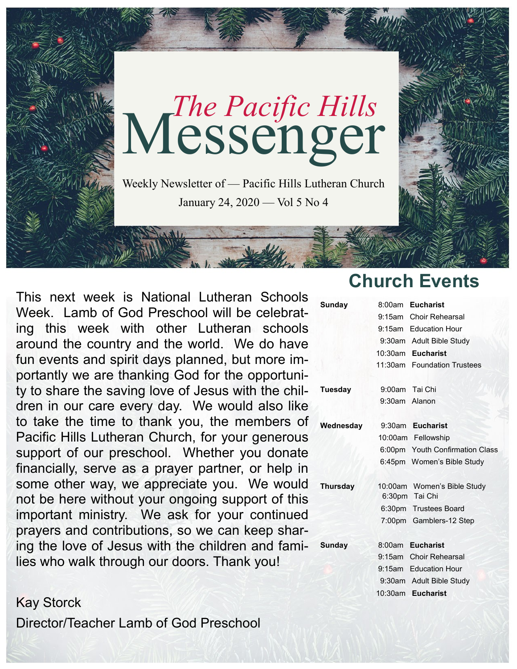

This next week is National Lutheran Schools Week. Lamb of God Preschool will be celebrating this week with other Lutheran schools around the country and the world. We do have fun events and spirit days planned, but more importantly we are thanking God for the opportunity to share the saving love of Jesus with the children in our care every day. We would also like to take the time to thank you, the members of Pacific Hills Lutheran Church, for your generous support of our preschool. Whether you donate financially, serve as a prayer partner, or help in some other way, we appreciate you. We would not be here without your ongoing support of this important ministry. We ask for your continued prayers and contributions, so we can keep sharing the love of Jesus with the children and families who walk through our doors. Thank you!

Kay Storck Director/Teacher Lamb of God Preschool

## **Church Events**

| Sunday          |               | 8:00am Eucharist                              |
|-----------------|---------------|-----------------------------------------------|
|                 |               | 9:15am Choir Rehearsal                        |
|                 |               | 9:15am Education Hour                         |
|                 |               | 9:30am Adult Bible Study                      |
|                 |               | 10:30am Eucharist                             |
|                 |               | 11:30am Foundation Trustees                   |
| <b>Tuesday</b>  |               | 9:00am Tai Chi                                |
|                 | 9:30am Alanon |                                               |
| Wednesday       |               | 9:30am Eucharist                              |
|                 |               | 10:00am Fellowship                            |
|                 |               | 6:00pm Youth Confirmation Class               |
|                 |               | 6:45pm Women's Bible Study                    |
| <b>Thursday</b> |               | 10:00am Women's Bible Study<br>6:30pm Tai Chi |
|                 |               | 6:30pm Trustees Board                         |
|                 |               | 7:00pm Gamblers-12 Step                       |
| Sunday          |               | 8:00am Eucharist                              |
|                 |               | 9:15am Choir Rehearsal                        |
|                 |               | 9:15am Education Hour                         |
|                 |               | 9:30am Adult Bible Study                      |
|                 |               | 10:30am Eucharist                             |